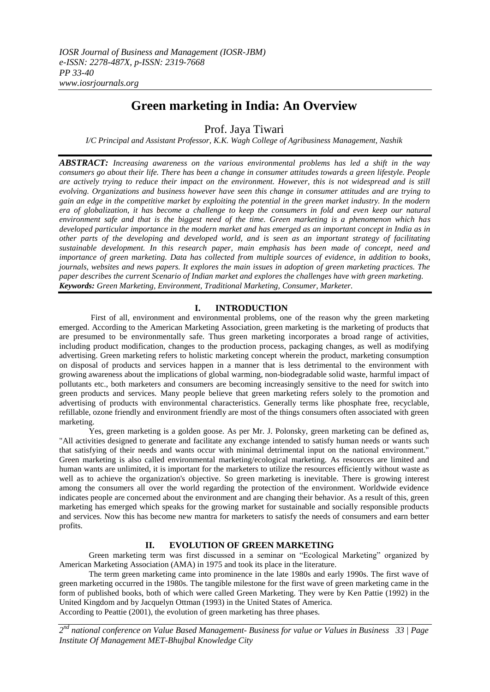# **Green marketing in India: An Overview**

Prof. Jaya Tiwari

*I/C Principal and Assistant Professor, K.K. Wagh College of Agribusiness Management, Nashik*

*ABSTRACT: Increasing awareness on the various environmental problems has led a shift in the way consumers go about their life. There has been a change in consumer attitudes towards a green lifestyle. People are actively trying to reduce their impact on the environment. However, this is not widespread and is still evolving. Organizations and business however have seen this change in consumer attitudes and are trying to gain an edge in the competitive market by exploiting the potential in the green market industry. In the modern era of globalization, it has become a challenge to keep the consumers in fold and even keep our natural environment safe and that is the biggest need of the time. Green marketing is a phenomenon which has developed particular importance in the modern market and has emerged as an important concept in India as in other parts of the developing and developed world, and is seen as an important strategy of facilitating sustainable development. In this research paper, main emphasis has been made of concept, need and importance of green marketing. Data has collected from multiple sources of evidence, in addition to books, journals, websites and news papers. It explores the main issues in adoption of green marketing practices. The paper describes the current Scenario of Indian market and explores the challenges have with green marketing. Keywords: Green Marketing, Environment, Traditional Marketing, Consumer, Marketer.*

# **I. INTRODUCTION**

First of all, environment and environmental problems, one of the reason why the green marketing emerged. According to the American Marketing Association, green marketing is the marketing of products that are presumed to be environmentally safe. Thus green marketing incorporates a broad range of activities, including product modification, changes to the production process, packaging changes, as well as modifying advertising. Green marketing refers to holistic marketing concept wherein the product, marketing consumption on disposal of products and services happen in a manner that is less detrimental to the environment with growing awareness about the implications of global warming, non-biodegradable solid waste, harmful impact of pollutants etc., both marketers and consumers are becoming increasingly sensitive to the need for switch into green products and services. Many people believe that green marketing refers solely to the promotion and advertising of products with environmental characteristics. Generally terms like phosphate free, recyclable, refillable, ozone friendly and environment friendly are most of the things consumers often associated with green marketing.

Yes, green marketing is a golden goose. As per Mr. J. Polonsky, green marketing can be defined as, "All activities designed to generate and facilitate any exchange intended to satisfy human needs or wants such that satisfying of their needs and wants occur with minimal detrimental input on the national environment." Green marketing is also called environmental marketing/ecological marketing. As resources are limited and human wants are unlimited, it is important for the marketers to utilize the resources efficiently without waste as well as to achieve the organization's objective. So green marketing is inevitable. There is growing interest among the consumers all over the world regarding the protection of the environment. Worldwide evidence indicates people are concerned about the environment and are changing their behavior. As a result of this, green marketing has emerged which speaks for the growing market for sustainable and socially responsible products and services. Now this has become new mantra for marketers to satisfy the needs of consumers and earn better profits.

# **II. EVOLUTION OF GREEN MARKETING**

Green marketing term was first discussed in a seminar on "Ecological Marketing" organized by American Marketing Association (AMA) in 1975 and took its place in the literature.

The term green marketing came into prominence in the late 1980s and early 1990s. The first wave of green marketing occurred in the 1980s. The tangible milestone for the first wave of green marketing came in the form of published books, both of which were called Green Marketing. They were by Ken Pattie (1992) in the United Kingdom and by Jacquelyn Ottman (1993) in the United States of America. According to Peattie (2001), the evolution of green marketing has three phases.

*2 nd national conference on Value Based Management- Business for value or Values in Business 33 | Page Institute Of Management MET-Bhujbal Knowledge City*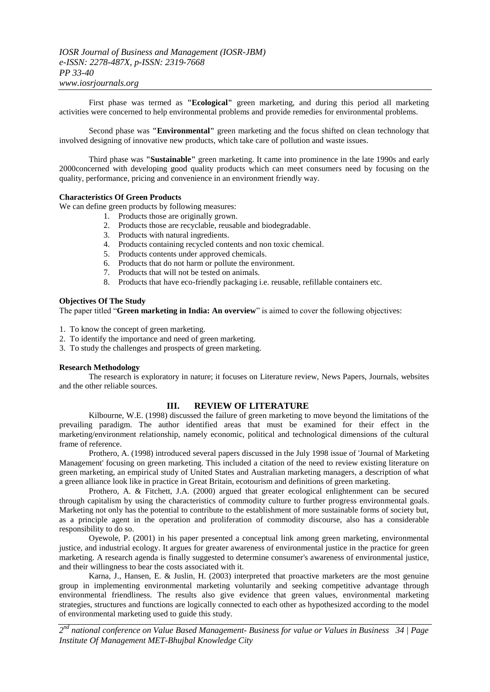First phase was termed as **"Ecological"** green marketing, and during this period all marketing activities were concerned to help environmental problems and provide remedies for environmental problems.

Second phase was **"Environmental"** green marketing and the focus shifted on clean technology that involved designing of innovative new products, which take care of pollution and waste issues.

Third phase was **"Sustainable"** green marketing. It came into prominence in the late 1990s and early 2000concerned with developing good quality products which can meet consumers need by focusing on the quality, performance, pricing and convenience in an environment friendly way.

## **Characteristics Of Green Products**

We can define green products by following measures:

- 1. Products those are originally grown.
- 2. Products those are recyclable, reusable and biodegradable.
- 3. Products with natural ingredients.
- 4. Products containing recycled contents and non toxic chemical.<br>5. Products contents under approved chemicals.
- 5. Products contents under approved chemicals.
- 6. Products that do not harm or pollute the environment.
- 7. Products that will not be tested on animals.
- 8. Products that have eco-friendly packaging i.e. reusable, refillable containers etc.

#### **Objectives Of The Study**

The paper titled "Green marketing in India: An overview" is aimed to cover the following objectives:

- 1. To know the concept of green marketing.
- 2. To identify the importance and need of green marketing.
- 3. To study the challenges and prospects of green marketing.

#### **Research Methodology**

The research is exploratory in nature; it focuses on Literature review, News Papers, Journals, websites and the other reliable sources.

# **III. REVIEW OF LITERATURE**

Kilbourne, W.E. (1998) discussed the failure of green marketing to move beyond the limitations of the prevailing paradigm. The author identified areas that must be examined for their effect in the marketing/environment relationship, namely economic, political and technological dimensions of the cultural frame of reference.

Prothero, A. (1998) introduced several papers discussed in the July 1998 issue of 'Journal of Marketing Management' focusing on green marketing. This included a citation of the need to review existing literature on green marketing, an empirical study of United States and Australian marketing managers, a description of what a green alliance look like in practice in Great Britain, ecotourism and definitions of green marketing.

Prothero, A. & Fitchett, J.A. (2000) argued that greater ecological enlightenment can be secured through capitalism by using the characteristics of commodity culture to further progress environmental goals. Marketing not only has the potential to contribute to the establishment of more sustainable forms of society but, as a principle agent in the operation and proliferation of commodity discourse, also has a considerable responsibility to do so.

Oyewole, P. (2001) in his paper presented a conceptual link among green marketing, environmental justice, and industrial ecology. It argues for greater awareness of environmental justice in the practice for green marketing. A research agenda is finally suggested to determine consumer's awareness of environmental justice, and their willingness to bear the costs associated with it.

Karna, J., Hansen, E. & Juslin, H. (2003) interpreted that proactive marketers are the most genuine group in implementing environmental marketing voluntarily and seeking competitive advantage through environmental friendliness. The results also give evidence that green values, environmental marketing strategies, structures and functions are logically connected to each other as hypothesized according to the model of environmental marketing used to guide this study.

*2 nd national conference on Value Based Management- Business for value or Values in Business 34 | Page Institute Of Management MET-Bhujbal Knowledge City*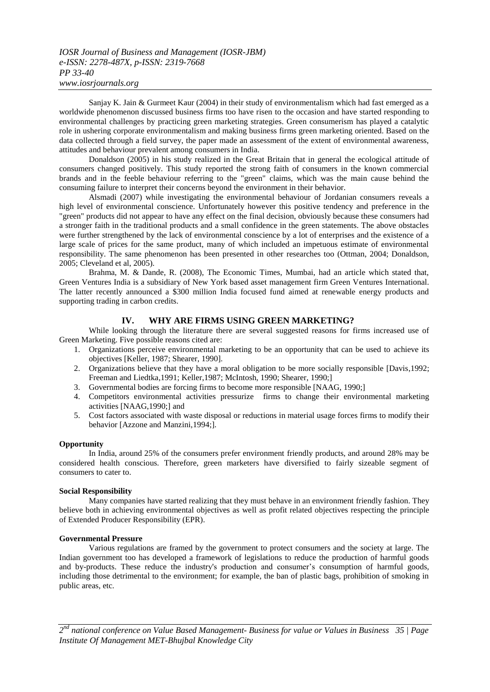Sanjay K. Jain & Gurmeet Kaur (2004) in their study of environmentalism which had fast emerged as a worldwide phenomenon discussed business firms too have risen to the occasion and have started responding to environmental challenges by practicing green marketing strategies. Green consumerism has played a catalytic role in ushering corporate environmentalism and making business firms green marketing oriented. Based on the data collected through a field survey, the paper made an assessment of the extent of environmental awareness, attitudes and behaviour prevalent among consumers in India.

Donaldson (2005) in his study realized in the Great Britain that in general the ecological attitude of consumers changed positively. This study reported the strong faith of consumers in the known commercial brands and in the feeble behaviour referring to the "green" claims, which was the main cause behind the consuming failure to interpret their concerns beyond the environment in their behavior.

Alsmadi (2007) while investigating the environmental behaviour of Jordanian consumers reveals a high level of environmental conscience. Unfortunately however this positive tendency and preference in the "green" products did not appear to have any effect on the final decision, obviously because these consumers had a stronger faith in the traditional products and a small confidence in the green statements. The above obstacles were further strengthened by the lack of environmental conscience by a lot of enterprises and the existence of a large scale of prices for the same product, many of which included an impetuous estimate of environmental responsibility. The same phenomenon has been presented in other researches too (Ottman, 2004; Donaldson, 2005; Cleveland et al, 2005).

Brahma, M. & Dande, R. (2008), The Economic Times, Mumbai, had an article which stated that, Green Ventures India is a subsidiary of New York based asset management firm Green Ventures International. The latter recently announced a \$300 million India focused fund aimed at renewable energy products and supporting trading in carbon credits.

## **IV. WHY ARE FIRMS USING GREEN MARKETING?**

While looking through the literature there are several suggested reasons for firms increased use of Green Marketing. Five possible reasons cited are:

- 1. Organizations perceive environmental marketing to be an opportunity that can be used to achieve its objectives [Keller, 1987; Shearer, 1990].
- 2. Organizations believe that they have a moral obligation to be more socially responsible [Davis,1992; Freeman and Liedtka,1991; Keller,1987; McIntosh, 1990; Shearer, 1990;]
- 3. Governmental bodies are forcing firms to become more responsible [NAAG, 1990;]
- 4. Competitors environmental activities pressurize firms to change their environmental marketing activities [NAAG,1990;] and
- 5. Cost factors associated with waste disposal or reductions in material usage forces firms to modify their behavior [Azzone and Manzini,1994;].

#### **Opportunity**

In India, around 25% of the consumers prefer environment friendly products, and around 28% may be considered health conscious. Therefore, green marketers have diversified to fairly sizeable segment of consumers to cater to.

#### **Social Responsibility**

Many companies have started realizing that they must behave in an environment friendly fashion. They believe both in achieving environmental objectives as well as profit related objectives respecting the principle of Extended Producer Responsibility (EPR).

#### **Governmental Pressure**

Various regulations are framed by the government to protect consumers and the society at large. The Indian government too has developed a framework of legislations to reduce the production of harmful goods and by-products. These reduce the industry's production and consumer's consumption of harmful goods, including those detrimental to the environment; for example, the ban of plastic bags, prohibition of smoking in public areas, etc.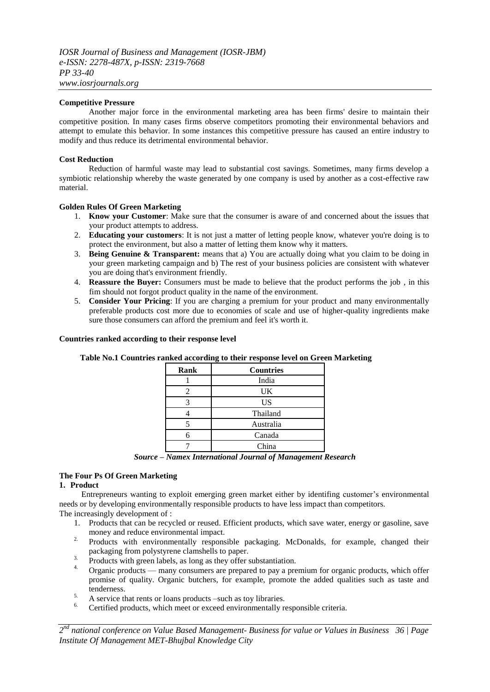## **Competitive Pressure**

Another major force in the environmental marketing area has been firms' desire to maintain their competitive position. In many cases firms observe competitors promoting their environmental behaviors and attempt to emulate this behavior. In some instances this competitive pressure has caused an entire industry to modify and thus reduce its detrimental environmental behavior.

## **Cost Reduction**

Reduction of harmful waste may lead to substantial cost savings. Sometimes, many firms develop a symbiotic relationship whereby the waste generated by one company is used by another as a cost-effective raw material.

## **Golden Rules Of Green Marketing**

- 1. **Know your Customer**: Make sure that the consumer is aware of and concerned about the issues that your product attempts to address.
- 2. **Educating your customers**: It is not just a matter of letting people know, whatever you're doing is to protect the environment, but also a matter of letting them know why it matters.
- 3. **Being Genuine & Transparent:** means that a) You are actually doing what you claim to be doing in your green marketing campaign and b) The rest of your business policies are consistent with whatever you are doing that's environment friendly.
- 4. **Reassure the Buyer:** Consumers must be made to believe that the product performs the job , in this fim should not forgot product quality in the name of the environment.
- 5. **Consider Your Pricing**: If you are charging a premium for your product and many environmentally preferable products cost more due to economies of scale and use of higher-quality ingredients make sure those consumers can afford the premium and feel it's worth it.

#### **Countries ranked according to their response level**

| Rank | <b>Countries</b> |  |
|------|------------------|--|
|      | India            |  |
|      | UK               |  |
|      | US               |  |
|      | Thailand         |  |
|      | Australia        |  |
|      | Canada           |  |
|      | China            |  |

# **Table No.1 Countries ranked according to their response level on Green Marketing**

*Source – Namex International Journal of Management Research*

## **The Four Ps Of Green Marketing**

#### **1. Product**

Entrepreneurs wanting to exploit emerging green market either by identifing customer's environmental needs or by developing environmentally responsible products to have less impact than competitors. The increasingly development of :

- 1. Products that can be recycled or reused. Efficient products, which save water, energy or gasoline, save money and reduce environmental impact.
- <sup>2.</sup> Products with environmentally responsible packaging. McDonalds, for example, changed their packaging from polystyrene clamshells to paper.
- <sup>3.</sup> Products with green labels, as long as they offer substantiation.
- Organic products many consumers are prepared to pay a premium for organic products, which offer promise of quality. Organic butchers, for example, promote the added qualities such as taste and tenderness.
- 5. A service that rents or loans products –such as toy libraries.
- 6. Certified products, which meet or exceed environmentally responsible criteria.

*2 nd national conference on Value Based Management- Business for value or Values in Business 36 | Page Institute Of Management MET-Bhujbal Knowledge City*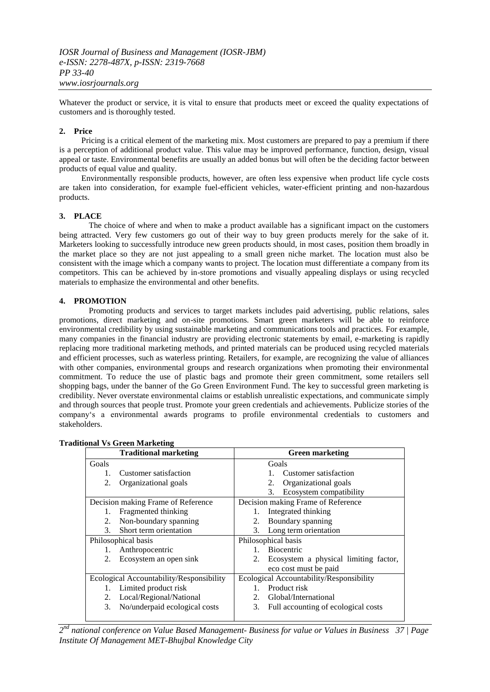Whatever the product or service, it is vital to ensure that products meet or exceed the quality expectations of customers and is thoroughly tested.

## **2. Price**

Pricing is a critical element of the marketing mix. Most customers are prepared to pay a premium if there is a perception of additional product value. This value may be improved performance, function, design, visual appeal or taste. Environmental benefits are usually an added bonus but will often be the deciding factor between products of equal value and quality.

Environmentally responsible products, however, are often less expensive when product life cycle costs are taken into consideration, for example fuel-efficient vehicles, water-efficient printing and non-hazardous products.

## **3. PLACE**

The choice of where and when to make a product available has a significant impact on the customers being attracted. Very few customers go out of their way to buy green products merely for the sake of it. Marketers looking to successfully introduce new green products should, in most cases, position them broadly in the market place so they are not just appealing to a small green niche market. The location must also be consistent with the image which a company wants to project. The location must differentiate a company from its competitors. This can be achieved by in-store promotions and visually appealing displays or using recycled materials to emphasize the environmental and other benefits.

## **4. PROMOTION**

Promoting products and services to target markets includes paid advertising, public relations, sales promotions, direct marketing and on-site promotions. Smart green marketers will be able to reinforce environmental credibility by using sustainable marketing and communications tools and practices. For example, many companies in the financial industry are providing electronic statements by email, e-marketing is rapidly replacing more traditional marketing methods, and printed materials can be produced using recycled materials and efficient processes, such as waterless printing. Retailers, for example, are recognizing the value of alliances with other companies, environmental groups and research organizations when promoting their environmental commitment. To reduce the use of plastic bags and promote their green commitment, some retailers sell shopping bags, under the banner of the Go Green Environment Fund. The key to successful green marketing is credibility. Never overstate environmental claims or establish unrealistic expectations, and communicate simply and through sources that people trust. Promote your green credentials and achievements. Publicize stories of the company‗s a environmental awards programs to profile environmental credentials to customers and stakeholders.

| <b>Traditional marketing</b>             |                               | <b>Green marketing</b> |                                          |
|------------------------------------------|-------------------------------|------------------------|------------------------------------------|
| Goals                                    |                               |                        | Goals                                    |
| 1.                                       | Customer satisfaction         |                        | Customer satisfaction                    |
| 2.                                       | Organizational goals          |                        | Organizational goals<br>2.               |
|                                          |                               |                        | Ecosystem compatibility<br>3.            |
| Decision making Frame of Reference       |                               |                        | Decision making Frame of Reference       |
| 1.                                       | Fragmented thinking           |                        | Integrated thinking                      |
| 2.                                       | Non-boundary spanning         | 2.                     | Boundary spanning                        |
| $\mathcal{E}$                            | Short term orientation        | 3.                     | Long term orientation                    |
| Philosophical basis                      |                               | Philosophical basis    |                                          |
| 1.                                       | Anthropocentric               |                        | <b>Biocentric</b>                        |
| 2.                                       | Ecosystem an open sink        | 2.                     | Ecosystem a physical limiting factor,    |
|                                          |                               |                        | eco cost must be paid                    |
| Ecological Accountability/Responsibility |                               |                        | Ecological Accountability/Responsibility |
| 1.                                       | Limited product risk          | 1.                     | Product risk                             |
| 2.                                       | Local/Regional/National       | 2.                     | Global/International                     |
| 3.                                       | No/underpaid ecological costs | 3.                     | Full accounting of ecological costs      |
|                                          |                               |                        |                                          |

#### **Traditional Vs Green Marketing**

*2 nd national conference on Value Based Management- Business for value or Values in Business 37 | Page Institute Of Management MET-Bhujbal Knowledge City*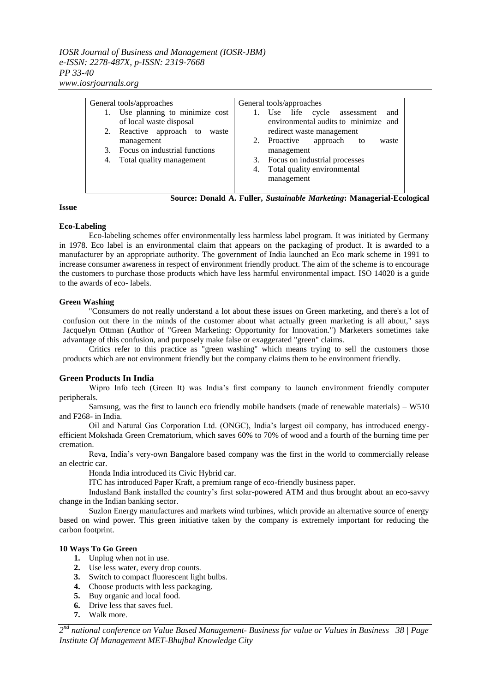*IOSR Journal of Business and Management (IOSR-JBM) e-ISSN: 2278-487X, p-ISSN: 2319-7668 PP 33-40 www.iosrjournals.org*

| General tools/approaches |                                  | General tools/approaches |                                      |  |
|--------------------------|----------------------------------|--------------------------|--------------------------------------|--|
|                          | 1. Use planning to minimize cost |                          | 1. Use life cycle assessment<br>and  |  |
|                          | of local waste disposal          |                          | environmental audits to minimize and |  |
|                          | 2. Reactive approach to<br>waste |                          | redirect waste management            |  |
|                          | management                       |                          | 2. Proactive<br>approach to<br>waste |  |
|                          | 3. Focus on industrial functions |                          | management                           |  |
|                          | 4. Total quality management      |                          | 3. Focus on industrial processes     |  |
|                          |                                  |                          | 4. Total quality environmental       |  |
|                          |                                  |                          | management                           |  |
|                          |                                  |                          |                                      |  |

 **Source: Donald A. Fuller,** *Sustainable Marketing***: Managerial-Ecological** 

## **Issue**

# **Eco-Labeling**

 Eco-labeling schemes offer environmentally less harmless label program. It was initiated by Germany in 1978. Eco label is an environmental claim that appears on the packaging of product. It is awarded to a manufacturer by an appropriate authority. The government of India launched an Eco mark scheme in 1991 to increase consumer awareness in respect of environment friendly product. The aim of the scheme is to encourage the customers to purchase those products which have less harmful environmental impact. ISO 14020 is a guide to the awards of eco- labels.

# **Green Washing**

"Consumers do not really understand a lot about these issues on Green marketing, and there's a lot of confusion out there in the minds of the customer about what actually green marketing is all about," says Jacquelyn Ottman (Author of "Green Marketing: Opportunity for Innovation.") Marketers sometimes take advantage of this confusion, and purposely make false or exaggerated "green" claims.

Critics refer to this practice as "green washing" which means trying to sell the customers those products which are not environment friendly but the company claims them to be environment friendly.

# **Green Products In India**

Wipro Info tech (Green It) was India's first company to launch environment friendly computer peripherals.

Samsung, was the first to launch eco friendly mobile handsets (made of renewable materials) – W510 and F268- in India.

Oil and Natural Gas Corporation Ltd. (ONGC), India's largest oil company, has introduced energyefficient Mokshada Green Crematorium, which saves 60% to 70% of wood and a fourth of the burning time per cremation.

Reva, India's very-own Bangalore based company was the first in the world to commercially release an electric car.

Honda India introduced its Civic Hybrid car.

ITC has introduced Paper Kraft, a premium range of eco-friendly business paper.

Indusland Bank installed the country's first solar-powered ATM and thus brought about an eco-savvy change in the Indian banking sector.

Suzlon Energy manufactures and markets wind turbines, which provide an alternative source of energy based on wind power. This green initiative taken by the company is extremely important for reducing the carbon footprint.

## **10 Ways To Go Green**

- **1.** Unplug when not in use.
- **2.** Use less water, every drop counts.
- **3.** Switch to compact fluorescent light bulbs.
- **4.** Choose products with less packaging.
- **5.** Buy organic and local food.
- **6.** Drive less that saves fuel.
- **7.** Walk more.

*2 nd national conference on Value Based Management- Business for value or Values in Business 38 | Page Institute Of Management MET-Bhujbal Knowledge City*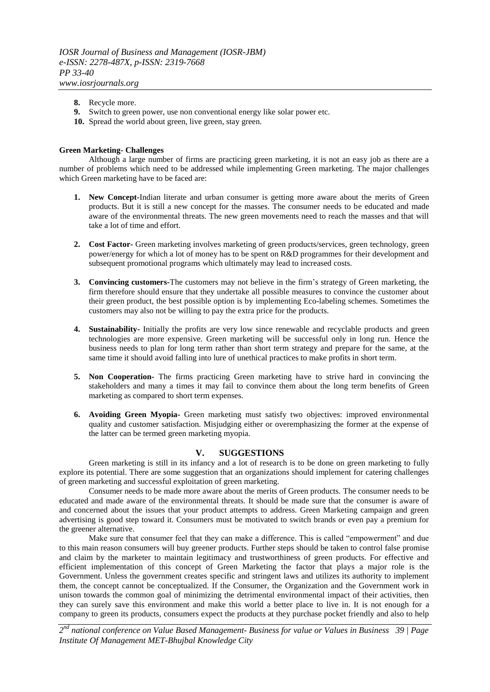- **8.** Recycle more.
- **9.** Switch to green power, use non conventional energy like solar power etc.
- **10.** Spread the world about green, live green, stay green.

## **Green Marketing- Challenges**

Although a large number of firms are practicing green marketing, it is not an easy job as there are a number of problems which need to be addressed while implementing Green marketing. The major challenges which Green marketing have to be faced are:

- **1. New Concept-**Indian literate and urban consumer is getting more aware about the merits of Green products. But it is still a new concept for the masses. The consumer needs to be educated and made aware of the environmental threats. The new green movements need to reach the masses and that will take a lot of time and effort.
- **2. Cost Factor-** Green marketing involves marketing of green products/services, green technology, green power/energy for which a lot of money has to be spent on R&D programmes for their development and subsequent promotional programs which ultimately may lead to increased costs.
- **3. Convincing customers-**The customers may not believe in the firm's strategy of Green marketing, the firm therefore should ensure that they undertake all possible measures to convince the customer about their green product, the best possible option is by implementing Eco-labeling schemes. Sometimes the customers may also not be willing to pay the extra price for the products.
- **4. Sustainability-** Initially the profits are very low since renewable and recyclable products and green technologies are more expensive. Green marketing will be successful only in long run. Hence the business needs to plan for long term rather than short term strategy and prepare for the same, at the same time it should avoid falling into lure of unethical practices to make profits in short term.
- **5. Non Cooperation-** The firms practicing Green marketing have to strive hard in convincing the stakeholders and many a times it may fail to convince them about the long term benefits of Green marketing as compared to short term expenses.
- **6. Avoiding Green Myopia-** Green marketing must satisfy two objectives: improved environmental quality and customer satisfaction. Misjudging either or overemphasizing the former at the expense of the latter can be termed green marketing myopia.

## **V. SUGGESTIONS**

Green marketing is still in its infancy and a lot of research is to be done on green marketing to fully explore its potential. There are some suggestion that an organizations should implement for catering challenges of green marketing and successful exploitation of green marketing.

Consumer needs to be made more aware about the merits of Green products. The consumer needs to be educated and made aware of the environmental threats. It should be made sure that the consumer is aware of and concerned about the issues that your product attempts to address. Green Marketing campaign and green advertising is good step toward it. Consumers must be motivated to switch brands or even pay a premium for the greener alternative.

Make sure that consumer feel that they can make a difference. This is called "empowerment" and due to this main reason consumers will buy greener products. Further steps should be taken to control false promise and claim by the marketer to maintain legitimacy and trustworthiness of green products. For effective and efficient implementation of this concept of Green Marketing the factor that plays a major role is the Government. Unless the government creates specific and stringent laws and utilizes its authority to implement them, the concept cannot be conceptualized. If the Consumer, the Organization and the Government work in unison towards the common goal of minimizing the detrimental environmental impact of their activities, then they can surely save this environment and make this world a better place to live in. It is not enough for a company to green its products, consumers expect the products at they purchase pocket friendly and also to help

*2 nd national conference on Value Based Management- Business for value or Values in Business 39 | Page Institute Of Management MET-Bhujbal Knowledge City*